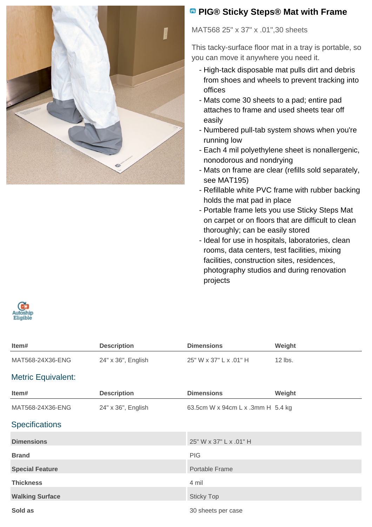

## **PIG® Sticky Steps® Mat with Frame**

MAT568 25" x 37" x .01",30 sheets

This tacky-surface floor mat in a tray is portable, so you can move it anywhere you need it.

- High-tack disposable mat pulls dirt and debris from shoes and wheels to prevent tracking into offices
- Mats come 30 sheets to a pad; entire pad attaches to frame and used sheets tear off easily
- Numbered pull-tab system shows when you're running low
- Each 4 mil polyethylene sheet is nonallergenic, nonodorous and nondrying
- Mats on frame are clear (refills sold separately, see MAT195)
- Refillable white PVC frame with rubber backing holds the mat pad in place
- Portable frame lets you use Sticky Steps Mat on carpet or on floors that are difficult to clean thoroughly; can be easily stored
- Ideal for use in hospitals, laboratories, clean rooms, data centers, test facilities, mixing facilities, construction sites, residences, photography studios and during renovation projects



| Item#                     | <b>Description</b> | <b>Dimensions</b>                 | Weight  |
|---------------------------|--------------------|-----------------------------------|---------|
| MAT568-24X36-ENG          | 24" x 36", English | 25" W x 37" L x .01" H            | 12 lbs. |
| <b>Metric Equivalent:</b> |                    |                                   |         |
| Item#                     | <b>Description</b> | <b>Dimensions</b>                 | Weight  |
| MAT568-24X36-ENG          | 24" x 36", English | 63.5cm W x 94cm L x .3mm H 5.4 kg |         |
| <b>Specifications</b>     |                    |                                   |         |
| <b>Dimensions</b>         |                    | 25" W x 37" L x .01" H            |         |
| <b>Brand</b>              |                    | <b>PIG</b>                        |         |
| <b>Special Feature</b>    |                    | Portable Frame                    |         |
| <b>Thickness</b>          |                    | 4 mil                             |         |
| <b>Walking Surface</b>    |                    | <b>Sticky Top</b>                 |         |
| Sold as                   |                    | 30 sheets per case                |         |